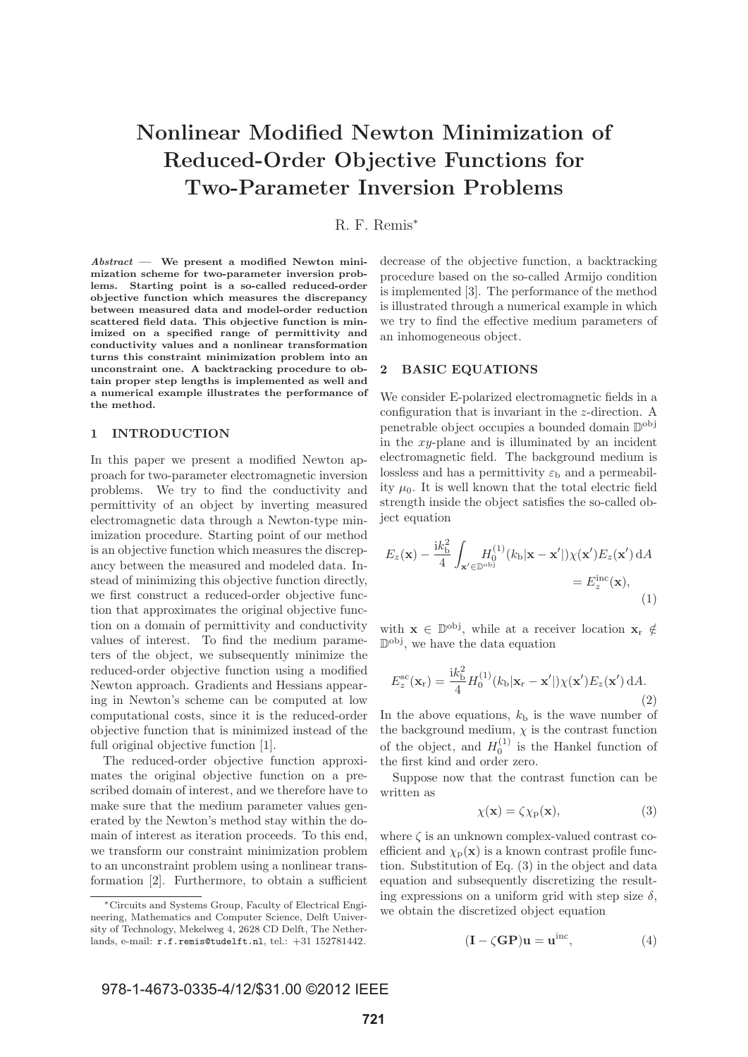# **Nonlinear Modified Newton Minimization of Reduced-Order Objective Functions for Two-Parameter Inversion Problems**

## R. F. Remis<sup>∗</sup>

*Abstract* **— We present a modified Newton minimization scheme for two-parameter inversion problems. Starting point is a so-called reduced-order objective function which measures the discrepancy between measured data and model-order reduction scattered field data. This objective function is minimized on a specified range of permittivity and conductivity values and a nonlinear transformation turns this constraint minimization problem into an unconstraint one. A backtracking procedure to obtain proper step lengths is implemented as well and a numerical example illustrates the performance of the method.**

### **1 INTRODUCTION**

In this paper we present a modified Newton approach for two-parameter electromagnetic inversion problems. We try to find the conductivity and permittivity of an object by inverting measured electromagnetic data through a Newton-type minimization procedure. Starting point of our method is an objective function which measures the discrepancy between the measured and modeled data. Instead of minimizing this objective function directly, we first construct a reduced-order objective function that approximates the original objective function on a domain of permittivity and conductivity values of interest. To find the medium parameters of the object, we subsequently minimize the reduced-order objective function using a modified Newton approach. Gradients and Hessians appearing in Newton's scheme can be computed at low computational costs, since it is the reduced-order objective function that is minimized instead of the full original objective function [1].

The reduced-order objective function approximates the original objective function on a prescribed domain of interest, and we therefore have to make sure that the medium parameter values generated by the Newton's method stay within the domain of interest as iteration proceeds. To this end, we transform our constraint minimization problem to an unconstraint problem using a nonlinear transformation [2]. Furthermore, to obtain a sufficient

decrease of the objective function, a backtracking procedure based on the so-called Armijo condition is implemented [3]. The performance of the method is illustrated through a numerical example in which we try to find the effective medium parameters of an inhomogeneous object.

#### **2 BASIC EQUATIONS**

We consider E-polarized electromagnetic fields in a configuration that is invariant in the z-direction. A penetrable object occupies a bounded domain Dobj in the  $xy$ -plane and is illuminated by an incident electromagnetic field. The background medium is lossless and has a permittivity  $\varepsilon_{\rm b}$  and a permeability  $\mu_0$ . It is well known that the total electric field strength inside the object satisfies the so-called object equation

$$
E_z(\mathbf{x}) - \frac{\mathrm{i}k_\mathrm{b}^2}{4} \int_{\mathbf{x}' \in \mathbb{D}^{\mathrm{obj}}} H_0^{(1)}(k_\mathrm{b}|\mathbf{x} - \mathbf{x}'|) \chi(\mathbf{x}') E_z(\mathbf{x}') \, \mathrm{d}A
$$

$$
= E_z^{\mathrm{inc}}(\mathbf{x}), \tag{1}
$$

with  $\mathbf{x} \in \mathbb{D}^{\text{obj}}$ , while at a receiver location  $\mathbf{x}_r \notin$  $\mathbb{D}^{\text{obj}},$  we have the data equation

$$
E_z^{\rm sc}(\mathbf{x}_r) = \frac{\mathrm{i}k_b^2}{4} H_0^{(1)}(k_b|\mathbf{x}_r - \mathbf{x}'|) \chi(\mathbf{x}') E_z(\mathbf{x}') \,\mathrm{d}A. \tag{2}
$$

In the above equations,  $k<sub>b</sub>$  is the wave number of the background medium,  $\chi$  is the contrast function of the object, and  $H_0^{(1)}$  is the Hankel function of the first kind and order zero.

Suppose now that the contrast function can be written as

$$
\chi(\mathbf{x}) = \zeta \chi_{\mathbf{p}}(\mathbf{x}),\tag{3}
$$

where  $\zeta$  is an unknown complex-valued contrast coefficient and  $\chi_{\mathbf{p}}(\mathbf{x})$  is a known contrast profile function. Substitution of Eq. (3) in the object and data equation and subsequently discretizing the resulting expressions on a uniform grid with step size  $\delta$ , we obtain the discretized object equation

$$
(\mathbf{I} - \zeta \mathbf{G} \mathbf{P}) \mathbf{u} = \mathbf{u}^{\text{inc}}, \tag{4}
$$

<sup>∗</sup>Circuits and Systems Group, Faculty of Electrical Engineering, Mathematics and Computer Science, Delft University of Technology, Mekelweg 4, 2628 CD Delft, The Netherlands, e-mail: r.f.remis@tudelft.nl, tel.: +31 152781442.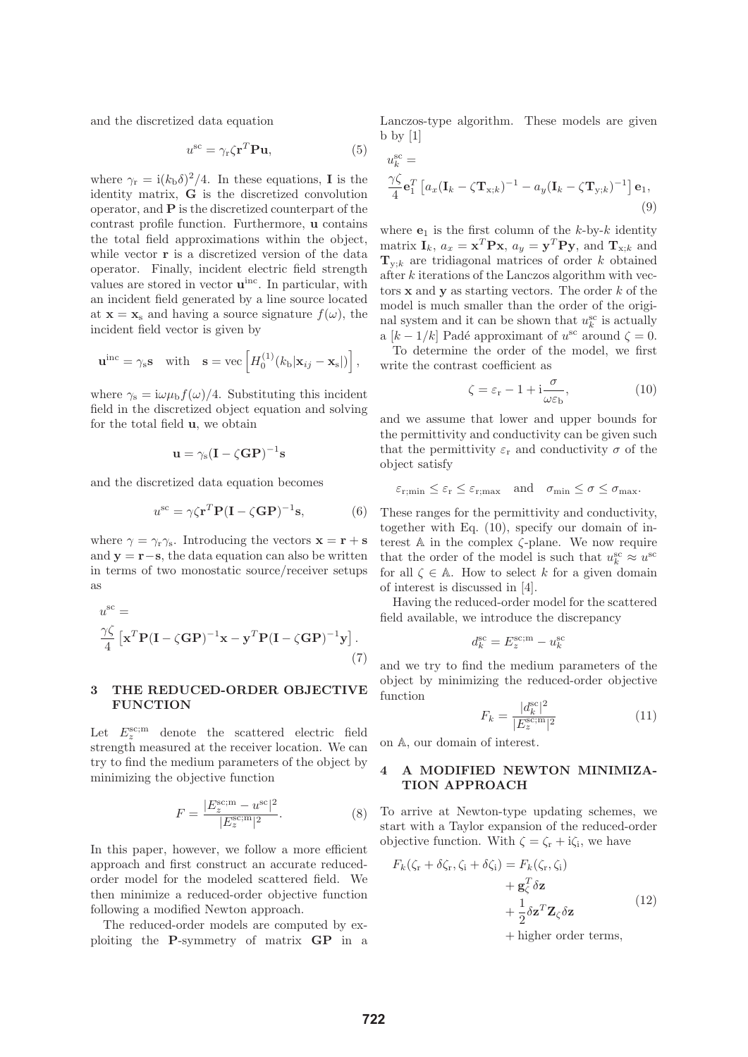and the discretized data equation

$$
u^{\rm sc} = \gamma_{\rm r} \zeta \mathbf{r}^T \mathbf{P} \mathbf{u},\tag{5}
$$

where  $\gamma_r = i(k_b \delta)^2/4$ . In these equations, **I** is the identity matrix, **G** is the discretized convolution operator, and **P** is the discretized counterpart of the contrast profile function. Furthermore, **u** contains the total field approximations within the object, while vector **r** is a discretized version of the data operator. Finally, incident electric field strength values are stored in vector **u**inc. In particular, with an incident field generated by a line source located at  $\mathbf{x} = \mathbf{x}_s$  and having a source signature  $f(\omega)$ , the incident field vector is given by

$$
\mathbf{u}^{\rm inc} = \gamma_{\rm s} \mathbf{s} \quad \text{with} \quad \mathbf{s} = \text{vec}\left[H_0^{(1)}(k_{\rm b}|\mathbf{x}_{ij} - \mathbf{x}_{\rm s}|)\right],
$$

where  $\gamma_s = i\omega\mu_b f(\omega)/4$ . Substituting this incident field in the discretized object equation and solving for the total field **u**, we obtain

$$
\mathbf{u} = \gamma_{\rm s} (\mathbf{I} - \zeta \mathbf{G} \mathbf{P})^{-1} \mathbf{s}
$$

and the discretized data equation becomes

$$
u^{\rm sc} = \gamma \zeta \mathbf{r}^T \mathbf{P} (\mathbf{I} - \zeta \mathbf{G} \mathbf{P})^{-1} \mathbf{s},\tag{6}
$$

where  $\gamma = \gamma_r \gamma_s$ . Introducing the vectors  $\mathbf{x} = \mathbf{r} + \mathbf{s}$ and **y** = **r**−**s**, the data equation can also be written in terms of two monostatic source/receiver setups as

$$
u^{\rm sc} =
$$
  

$$
\frac{\gamma \zeta}{4} \left[ \mathbf{x}^T \mathbf{P} (\mathbf{I} - \zeta \mathbf{G} \mathbf{P})^{-1} \mathbf{x} - \mathbf{y}^T \mathbf{P} (\mathbf{I} - \zeta \mathbf{G} \mathbf{P})^{-1} \mathbf{y} \right].
$$
 (7)

### **3 THE REDUCED-ORDER OBJECTIVE FUNCTION**

Let  $E_z^{\text{sc;m}}$  denote the scattered electric field strength measured at the receiver location. We can try to find the medium parameters of the object by minimizing the objective function

$$
F = \frac{|E_z^{\text{sc}; \mathbf{m}} - u^{\text{sc}}|^2}{|E_z^{\text{sc}; \mathbf{m}}|^2}.
$$
 (8)

In this paper, however, we follow a more efficient approach and first construct an accurate reducedorder model for the modeled scattered field. We then minimize a reduced-order objective function following a modified Newton approach.

The reduced-order models are computed by exploiting the **P**-symmetry of matrix **GP** in a Lanczos-type algorithm. These models are given  $b \frac{by}{1}$ 

$$
u_k^{\rm sc} =
$$
  

$$
\frac{\gamma \zeta}{4} \mathbf{e}_1^T \left[ a_x (\mathbf{I}_k - \zeta \mathbf{T}_{\mathbf{x};k})^{-1} - a_y (\mathbf{I}_k - \zeta \mathbf{T}_{\mathbf{y};k})^{-1} \right] \mathbf{e}_1,
$$
  
(9)

where  $e_1$  is the first column of the  $k$ -by- $k$  identity matrix  $\mathbf{I}_k$ ,  $a_x = \mathbf{x}^T \mathbf{P} \mathbf{x}$ ,  $a_y = \mathbf{y}^T \mathbf{P} \mathbf{y}$ , and  $\mathbf{T}_{\mathbf{x}:k}$  and  $T_{y:k}$  are tridiagonal matrices of order k obtained after k iterations of the Lanczos algorithm with vectors **x** and **y** as starting vectors. The order k of the model is much smaller than the order of the original system and it can be shown that  $u_k^{\rm sc}$  is actually a  $[k-1/k]$  Padé approximant of  $u^{\rm sc}$  around  $\zeta = 0$ .

To determine the order of the model, we first write the contrast coefficient as

$$
\zeta = \varepsilon_{\rm r} - 1 + i \frac{\sigma}{\omega \varepsilon_{\rm b}},\tag{10}
$$

and we assume that lower and upper bounds for the permittivity and conductivity can be given such that the permittivity  $\varepsilon_{\rm r}$  and conductivity  $\sigma$  of the object satisfy

$$
\varepsilon_{\text{r,min}} \leq \varepsilon_{\text{r}} \leq \varepsilon_{\text{r,max}}
$$
 and  $\sigma_{\min} \leq \sigma \leq \sigma_{\max}$ .

These ranges for the permittivity and conductivity, together with Eq. (10), specify our domain of interest  $A$  in the complex  $\zeta$ -plane. We now require that the order of the model is such that  $u_k^{\rm sc} \approx u^{\rm sc}$ for all  $\zeta \in A$ . How to select k for a given domain of interest is discussed in [4].

Having the reduced-order model for the scattered field available, we introduce the discrepancy

$$
d_k^{\rm sc} = E_z^{\rm sc;m} - u_k^{\rm sc}
$$

and we try to find the medium parameters of the object by minimizing the reduced-order objective function 2

$$
F_k = \frac{|d_k^{\rm sc}|^2}{|E_z^{\rm sc; m}|^2} \tag{11}
$$

on A, our domain of interest.

## **4 A MODIFIED NEWTON MINIMIZA-TION APPROACH**

To arrive at Newton-type updating schemes, we start with a Taylor expansion of the reduced-order objective function. With  $\zeta = \zeta_r + i\zeta_i$ , we have

$$
F_k(\zeta_r + \delta \zeta_r, \zeta_i + \delta \zeta_i) = F_k(\zeta_r, \zeta_i) + \mathbf{g}_{\zeta}^T \delta \mathbf{z} + \frac{1}{2} \delta \mathbf{z}^T \mathbf{Z}_{\zeta} \delta \mathbf{z}
$$
(12)

+ higher order terms,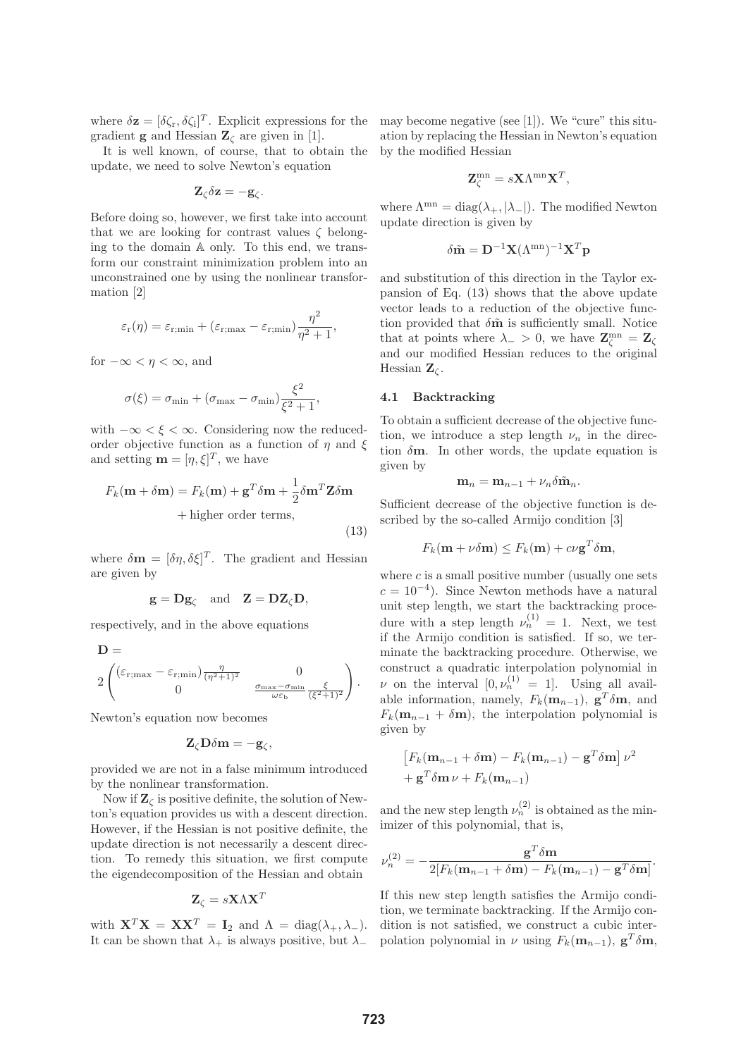where  $\delta \mathbf{z} = [\delta \zeta_r, \delta \zeta_i]^T$ . Explicit expressions for the gradient **g** and Hessian  $\mathbf{Z}_{\ell}$  are given in [1].

It is well known, of course, that to obtain the update, we need to solve Newton's equation

$$
\mathbf{Z}_{\zeta}\delta\mathbf{z}=-\mathbf{g}_{\zeta}.
$$

Before doing so, however, we first take into account that we are looking for contrast values  $\zeta$  belonging to the domain A only. To this end, we transform our constraint minimization problem into an unconstrained one by using the nonlinear transformation [2]

$$
\varepsilon_{\rm r}(\eta) = \varepsilon_{\rm r; min} + (\varepsilon_{\rm r; max} - \varepsilon_{\rm r; min}) \frac{\eta^2}{\eta^2 + 1},
$$

for  $-\infty < \eta < \infty$ , and

$$
\sigma(\xi) = \sigma_{\min} + (\sigma_{\max} - \sigma_{\min}) \frac{\xi^2}{\xi^2 + 1},
$$

with  $-\infty < \xi < \infty$ . Considering now the reducedorder objective function as a function of  $\eta$  and  $\xi$ and setting  $\mathbf{m} = [\eta, \xi]^T$ , we have

$$
F_k(\mathbf{m} + \delta \mathbf{m}) = F_k(\mathbf{m}) + \mathbf{g}^T \delta \mathbf{m} + \frac{1}{2} \delta \mathbf{m}^T \mathbf{Z} \delta \mathbf{m}
$$
  
+ higher order terms, (13)

where  $\delta \mathbf{m} = [\delta \eta, \delta \xi]^T$ . The gradient and Hessian are given by

$$
\mathbf{g} = \mathbf{D}\mathbf{g}_{\zeta} \quad \text{and} \quad \mathbf{Z} = \mathbf{D}\mathbf{Z}_{\zeta}\mathbf{D},
$$

respectively, and in the above equations

$$
\mathbf{D} = \begin{pmatrix} \frac{\eta}{\sigma_{\text{max}} - \varepsilon_{\text{r}} - \varepsilon_{\text{r}}}{\sqrt{\eta^2 + 1^2}} & 0\\ 0 & \frac{\sigma_{\text{max}} - \sigma_{\text{min}}}{\omega \varepsilon_{\text{b}}} \frac{\varepsilon}{(\varepsilon^2 + 1)^2} \end{pmatrix}.
$$

Newton's equation now becomes

 $\overline{\phantom{0}}$ 

 $\mathbf{Z}_{\zeta} \mathbf{D} \delta \mathbf{m} = -\mathbf{g}_{\zeta},$ 

provided we are not in a false minimum introduced by the nonlinear transformation.

Now if  $\mathbf{Z}_{\zeta}$  is positive definite, the solution of Newton's equation provides us with a descent direction. However, if the Hessian is not positive definite, the update direction is not necessarily a descent direction. To remedy this situation, we first compute the eigendecomposition of the Hessian and obtain

$$
\mathbf{Z}_{\zeta}=s\mathbf{X}\Lambda\mathbf{X}^T
$$

with  $\mathbf{X}^T \mathbf{X} = \mathbf{X} \mathbf{X}^T = \mathbf{I}_2$  and  $\Lambda = \text{diag}(\lambda_+, \lambda_-)$ . It can be shown that  $\lambda_+$  is always positive, but  $\lambda_-$ 

may become negative (see [1]). We "cure" this situation by replacing the Hessian in Newton's equation by the modified Hessian

$$
\mathbf{Z}_{\zeta}^{\text{mn}} = s\mathbf{X}\Lambda^{\text{mn}}\mathbf{X}^{T},
$$

where  $\Lambda^{mn} = \text{diag}(\lambda_+, |\lambda_-|)$ . The modified Newton update direction is given by

$$
\delta \tilde{\mathbf{m}} = \mathbf{D}^{-1} \mathbf{X} (\Lambda^{\text{mn}})^{-1} \mathbf{X}^T \mathbf{p}
$$

and substitution of this direction in the Taylor expansion of Eq. (13) shows that the above update vector leads to a reduction of the objective function provided that  $\delta \tilde{m}$  is sufficiently small. Notice that at points where  $\lambda_{-} > 0$ , we have  $\mathbf{Z}_{\zeta}^{\text{mn}} = \mathbf{Z}_{\zeta}$ and our modified Hessian reduces to the original Hessian  $\mathbf{Z}_\zeta$ .

#### **4.1 Backtracking**

To obtain a sufficient decrease of the objective function, we introduce a step length  $\nu_n$  in the direction  $\delta$ **m**. In other words, the update equation is given by

$$
\mathbf{m}_n = \mathbf{m}_{n-1} + \nu_n \delta \tilde{\mathbf{m}}_n.
$$

Sufficient decrease of the objective function is described by the so-called Armijo condition [3]

$$
F_k(\mathbf{m} + \nu \delta \mathbf{m}) \leq F_k(\mathbf{m}) + c \nu \mathbf{g}^T \delta \mathbf{m},
$$

where  $c$  is a small positive number (usually one sets  $c = 10^{-4}$ . Since Newton methods have a natural unit step length, we start the backtracking procedure with a step length  $\nu_n^{(1)} = 1$ . Next, we test if the Armijo condition is satisfied. If so, we terminate the backtracking procedure. Otherwise, we construct a quadratic interpolation polynomial in  $\nu$  on the interval  $[0, \nu_n^{(1)}] = 1$ . Using all available information, namely,  $F_k(\mathbf{m}_{n-1})$ ,  $\mathbf{g}^T\delta\mathbf{m}$ , and  $F_k(\mathbf{m}_{n-1} + \delta \mathbf{m})$ , the interpolation polynomial is given by

$$
\[F_k(\mathbf{m}_{n-1} + \delta \mathbf{m}) - F_k(\mathbf{m}_{n-1}) - \mathbf{g}^T \delta \mathbf{m}\] \nu^2
$$
  
+ 
$$
\mathbf{g}^T \delta \mathbf{m} \nu + F_k(\mathbf{m}_{n-1})
$$

and the new step length  $\nu_n^{(2)}$  is obtained as the minimizer of this polynomial, that is,

$$
\nu_n^{(2)} = -\frac{\mathbf{g}^T \delta \mathbf{m}}{2[F_k(\mathbf{m}_{n-1} + \delta \mathbf{m}) - F_k(\mathbf{m}_{n-1}) - \mathbf{g}^T \delta \mathbf{m}]}.
$$

If this new step length satisfies the Armijo condition, we terminate backtracking. If the Armijo condition is not satisfied, we construct a cubic interpolation polynomial in  $\nu$  using  $F_k(\mathbf{m}_{n-1}), \mathbf{g}^T \delta \mathbf{m}$ ,